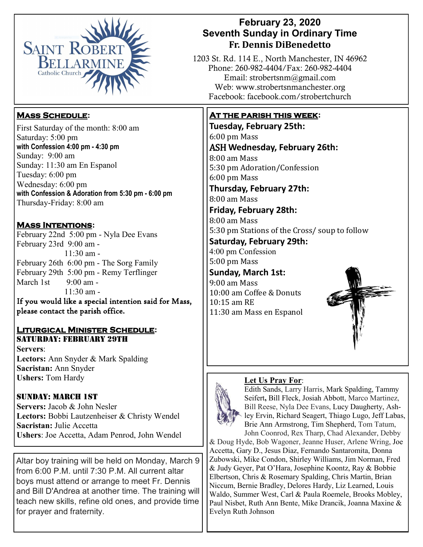

## **February 23, 2020 Seventh Sunday in Ordinary Time Fr. Dennis DiBenedetto**

1203 St. Rd. 114 E., North Manchester, IN 46962 Phone: 260-982-4404/Fax: 260-982-4404 Email: strobertsnm@gmail.com Web: www.strobertsnmanchester.org Facebook: facebook.com/strobertchurch

## **At the parish this week:**

**Tuesday, February 25th:**  6:00 pm Mass ASH **Wednesday, February 26th:** 8:00 am Mass 5:30 pm Adoration/Confession 6:00 pm Mass **Thursday, February 27th:**  8:00 am Mass **Friday, February 28th:**  8:00 am Mass 5:30 pm Stations of the Cross/ soup to follow **Saturday, February 29th:** 4:00 pm Confession 5:00 pm Mass **Sunday, March 1st:**

9:00 am Mass 10:00 am Coffee & Donuts 10:15 am RE 11:30 am Mass en Espanol



#### **Let Us Pray For**:



Edith Sands, Larry Harris, Mark Spalding, Tammy Seifert**,** Bill Fleck, Josiah Abbott, Marco Martinez, Bill Reese, Nyla Dee Evans, Lucy Daugherty, Ashley Ervin, Richard Seagert, Thiago Lugo, Jeff Labas, Brie Ann Armstrong, Tim Shepherd, Tom Tatum, John Coonrod, Rex Tharp, Chad Alexander, Debby

& Doug Hyde, Bob Wagoner, Jeanne Huser, Arlene Wring, Joe Accetta, Gary D., Jesus Diaz, Fernando Santaromita, Donna Zubowski, Mike Condon, Shirley Williams, Jim Norman, Fred & Judy Geyer, Pat O'Hara, Josephine Koontz, Ray & Bobbie Elbertson, Chris & Rosemary Spalding, Chris Martin, Brian Niccum, Bernie Bradley, Delores Hardy, Liz Learned, Louis Waldo, Summer West, Carl & Paula Roemele, Brooks Mobley, Paul Nisbet, Ruth Ann Bente, Mike Drancik, Joanna Maxine & Evelyn Ruth Johnson

# **Mass Schedule:**

First Saturday of the month: 8:00 am Saturday: 5:00 pm **with Confession 4:00 pm - 4:30 pm**  Sunday: 9:00 am Sunday: 11:30 am En Espanol Tuesday: 6:00 pm Wednesday: 6:00 pm **with Confession & Adoration from 5:30 pm - 6:00 pm**  Thursday-Friday: 8:00 am

**Mass Intentions:** 

February 22nd 5:00 pm - Nyla Dee Evans February 23rd 9:00 am - 11:30 am - February 26th 6:00 pm - The Sorg Family February 29th 5:00 pm - Remy Terflinger March 1st  $9:00$  am - $11:30$  am -

If you would like a special intention said for Mass, please contact the parish office. 

### **Liturgical Minister Schedule:** Saturday: February 29th

**Servers**: **Lectors:** Ann Snyder & Mark Spalding **Sacristan:** Ann Snyder **Ushers:** Tom Hardy

### Sunday: March 1st

**Servers:** Jacob & John Nesler **Lectors:** Bobbi Lautzenheiser & Christy Wendel **Sacristan:** Julie Accetta **Ushers**: Joe Accetta, Adam Penrod, John Wendel

Altar boy training will be held on Monday, March 9 from 6:00 P.M. until 7:30 P.M. All current altar boys must attend or arrange to meet Fr. Dennis and Bill D'Andrea at another time. The training will teach new skills, refine old ones, and provide time for prayer and fraternity.